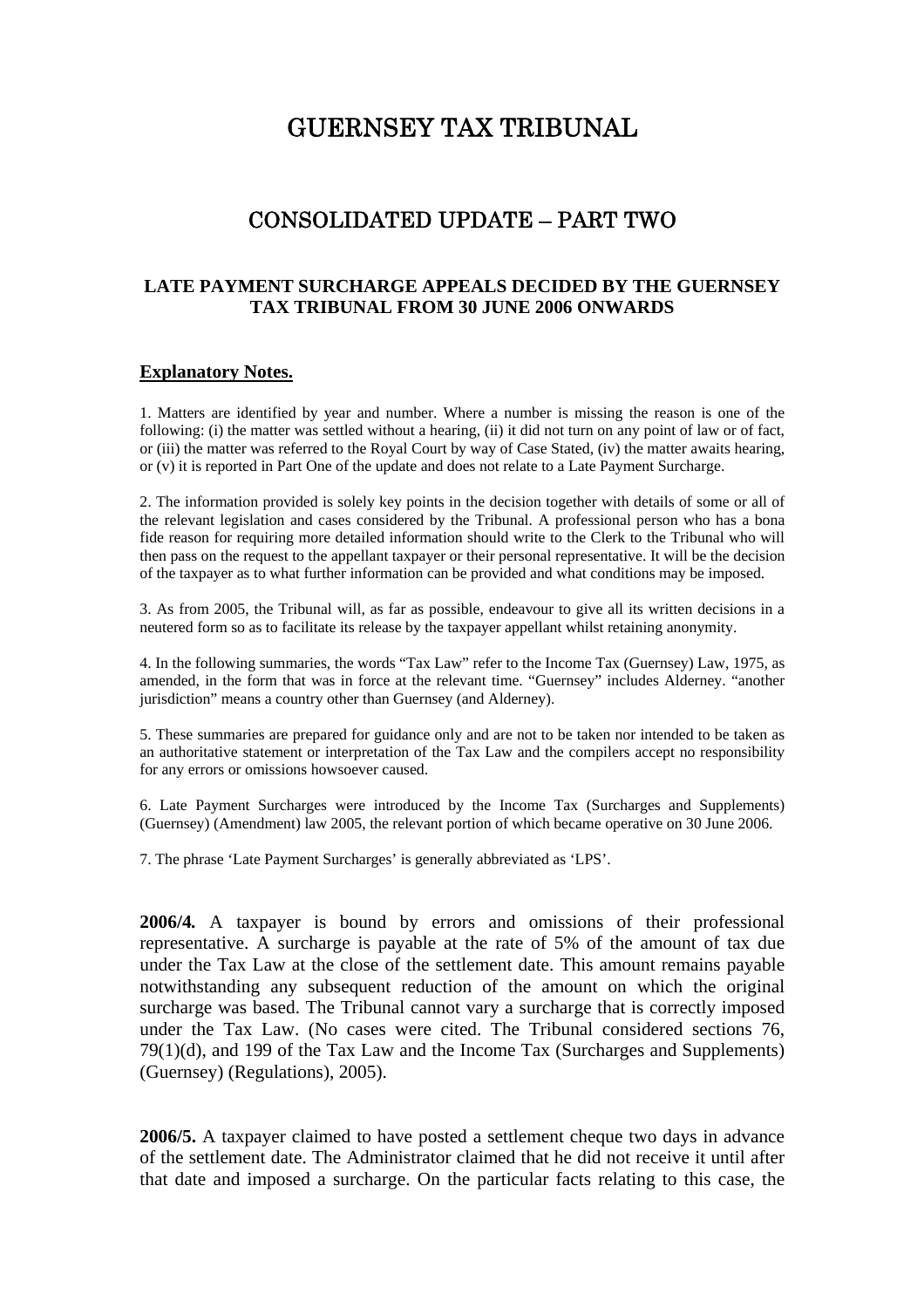# GUERNSEY TAX TRIBUNAL

# CONSOLIDATED UPDATE – PART TWO

#### **LATE PAYMENT SURCHARGE APPEALS DECIDED BY THE GUERNSEY TAX TRIBUNAL FROM 30 JUNE 2006 ONWARDS**

#### **Explanatory Notes.**

1. Matters are identified by year and number. Where a number is missing the reason is one of the following: (i) the matter was settled without a hearing, (ii) it did not turn on any point of law or of fact, or (iii) the matter was referred to the Royal Court by way of Case Stated, (iv) the matter awaits hearing, or (v) it is reported in Part One of the update and does not relate to a Late Payment Surcharge.

2. The information provided is solely key points in the decision together with details of some or all of the relevant legislation and cases considered by the Tribunal. A professional person who has a bona fide reason for requiring more detailed information should write to the Clerk to the Tribunal who will then pass on the request to the appellant taxpayer or their personal representative. It will be the decision of the taxpayer as to what further information can be provided and what conditions may be imposed.

3. As from 2005, the Tribunal will, as far as possible, endeavour to give all its written decisions in a neutered form so as to facilitate its release by the taxpayer appellant whilst retaining anonymity.

4. In the following summaries, the words "Tax Law" refer to the Income Tax (Guernsey) Law, 1975, as amended, in the form that was in force at the relevant time. "Guernsey" includes Alderney. "another jurisdiction" means a country other than Guernsey (and Alderney).

5. These summaries are prepared for guidance only and are not to be taken nor intended to be taken as an authoritative statement or interpretation of the Tax Law and the compilers accept no responsibility for any errors or omissions howsoever caused.

6. Late Payment Surcharges were introduced by the Income Tax (Surcharges and Supplements) (Guernsey) (Amendment) law 2005, the relevant portion of which became operative on 30 June 2006.

7. The phrase 'Late Payment Surcharges' is generally abbreviated as 'LPS'.

**2006/4***.* A taxpayer is bound by errors and omissions of their professional representative. A surcharge is payable at the rate of 5% of the amount of tax due under the Tax Law at the close of the settlement date. This amount remains payable notwithstanding any subsequent reduction of the amount on which the original surcharge was based. The Tribunal cannot vary a surcharge that is correctly imposed under the Tax Law. (No cases were cited. The Tribunal considered sections 76, 79(1)(d), and 199 of the Tax Law and the Income Tax (Surcharges and Supplements) (Guernsey) (Regulations), 2005).

**2006/5.** A taxpayer claimed to have posted a settlement cheque two days in advance of the settlement date. The Administrator claimed that he did not receive it until after that date and imposed a surcharge. On the particular facts relating to this case, the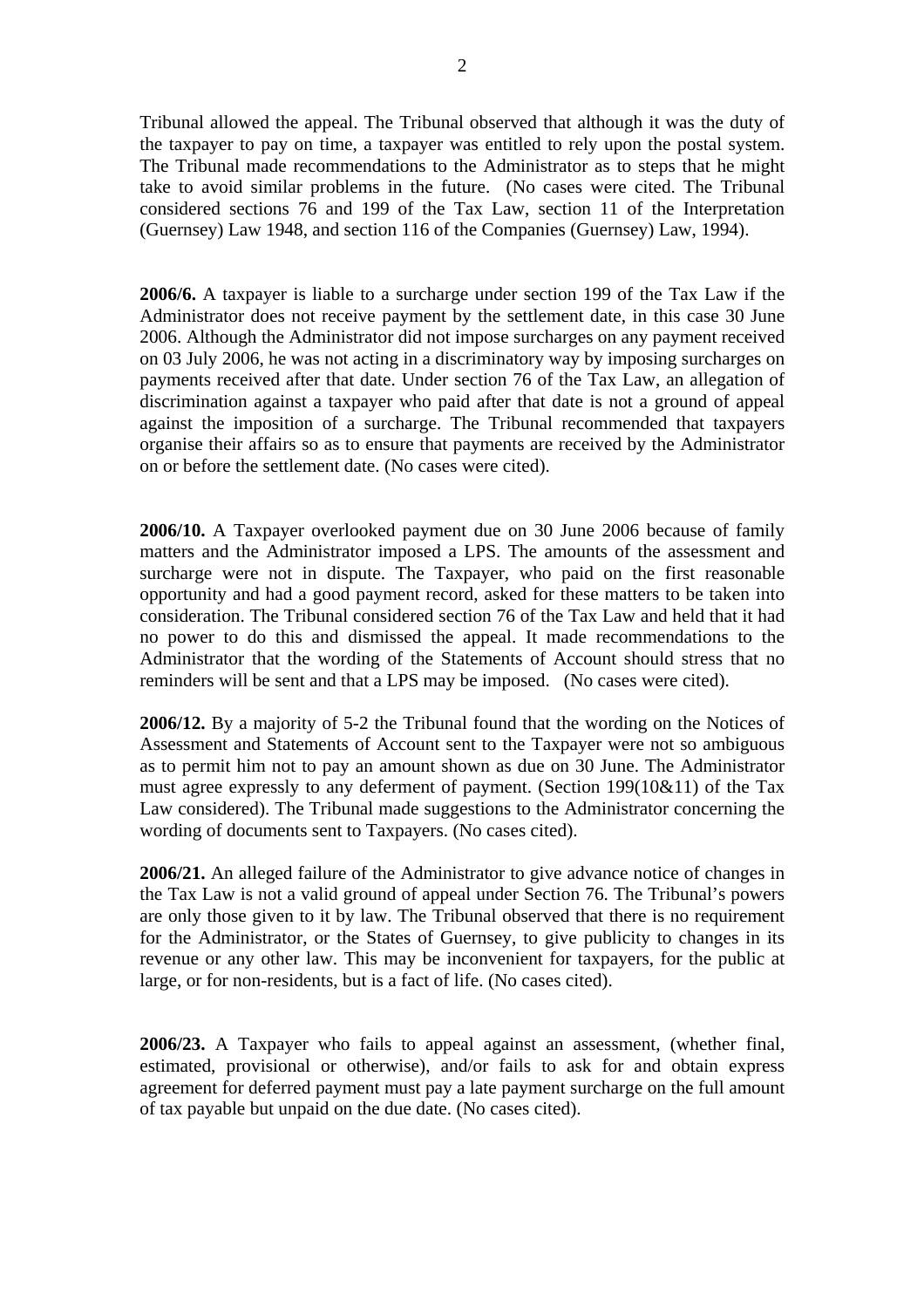Tribunal allowed the appeal. The Tribunal observed that although it was the duty of the taxpayer to pay on time, a taxpayer was entitled to rely upon the postal system. The Tribunal made recommendations to the Administrator as to steps that he might take to avoid similar problems in the future. (No cases were cited. The Tribunal considered sections 76 and 199 of the Tax Law, section 11 of the Interpretation (Guernsey) Law 1948, and section 116 of the Companies (Guernsey) Law, 1994).

**2006/6.** A taxpayer is liable to a surcharge under section 199 of the Tax Law if the Administrator does not receive payment by the settlement date, in this case 30 June 2006. Although the Administrator did not impose surcharges on any payment received on 03 July 2006, he was not acting in a discriminatory way by imposing surcharges on payments received after that date. Under section 76 of the Tax Law, an allegation of discrimination against a taxpayer who paid after that date is not a ground of appeal against the imposition of a surcharge. The Tribunal recommended that taxpayers organise their affairs so as to ensure that payments are received by the Administrator on or before the settlement date. (No cases were cited).

**2006/10.** A Taxpayer overlooked payment due on 30 June 2006 because of family matters and the Administrator imposed a LPS. The amounts of the assessment and surcharge were not in dispute. The Taxpayer, who paid on the first reasonable opportunity and had a good payment record, asked for these matters to be taken into consideration. The Tribunal considered section 76 of the Tax Law and held that it had no power to do this and dismissed the appeal. It made recommendations to the Administrator that the wording of the Statements of Account should stress that no reminders will be sent and that a LPS may be imposed. (No cases were cited).

**2006/12.** By a majority of 5-2 the Tribunal found that the wording on the Notices of Assessment and Statements of Account sent to the Taxpayer were not so ambiguous as to permit him not to pay an amount shown as due on 30 June. The Administrator must agree expressly to any deferment of payment. (Section 199(10&11) of the Tax Law considered). The Tribunal made suggestions to the Administrator concerning the wording of documents sent to Taxpayers. (No cases cited).

**2006/21.** An alleged failure of the Administrator to give advance notice of changes in the Tax Law is not a valid ground of appeal under Section 76. The Tribunal's powers are only those given to it by law. The Tribunal observed that there is no requirement for the Administrator, or the States of Guernsey, to give publicity to changes in its revenue or any other law. This may be inconvenient for taxpayers, for the public at large, or for non-residents, but is a fact of life. (No cases cited).

**2006/23.** A Taxpayer who fails to appeal against an assessment, (whether final, estimated, provisional or otherwise), and/or fails to ask for and obtain express agreement for deferred payment must pay a late payment surcharge on the full amount of tax payable but unpaid on the due date. (No cases cited).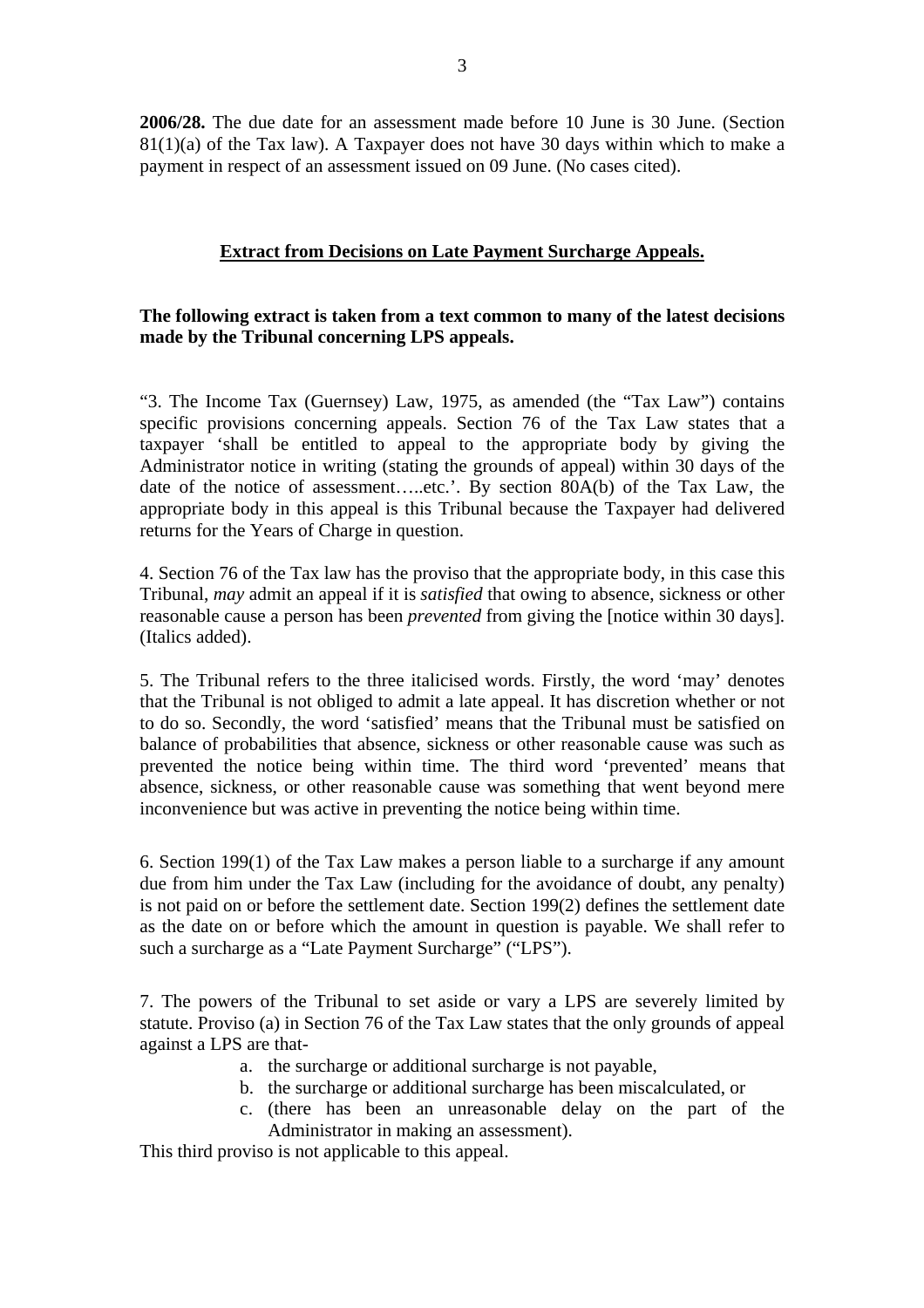**2006/28.** The due date for an assessment made before 10 June is 30 June. (Section  $81(1)(a)$  of the Tax law). A Taxpayer does not have 30 days within which to make a payment in respect of an assessment issued on 09 June. (No cases cited).

# **Extract from Decisions on Late Payment Surcharge Appeals.**

## **The following extract is taken from a text common to many of the latest decisions made by the Tribunal concerning LPS appeals.**

"3. The Income Tax (Guernsey) Law, 1975, as amended (the "Tax Law") contains specific provisions concerning appeals. Section 76 of the Tax Law states that a taxpayer 'shall be entitled to appeal to the appropriate body by giving the Administrator notice in writing (stating the grounds of appeal) within 30 days of the date of the notice of assessment…..etc.'. By section 80A(b) of the Tax Law, the appropriate body in this appeal is this Tribunal because the Taxpayer had delivered returns for the Years of Charge in question.

4. Section 76 of the Tax law has the proviso that the appropriate body, in this case this Tribunal, *may* admit an appeal if it is *satisfied* that owing to absence, sickness or other reasonable cause a person has been *prevented* from giving the [notice within 30 days]. (Italics added).

5. The Tribunal refers to the three italicised words. Firstly, the word 'may' denotes that the Tribunal is not obliged to admit a late appeal. It has discretion whether or not to do so. Secondly, the word 'satisfied' means that the Tribunal must be satisfied on balance of probabilities that absence, sickness or other reasonable cause was such as prevented the notice being within time. The third word 'prevented' means that absence, sickness, or other reasonable cause was something that went beyond mere inconvenience but was active in preventing the notice being within time.

6. Section 199(1) of the Tax Law makes a person liable to a surcharge if any amount due from him under the Tax Law (including for the avoidance of doubt, any penalty) is not paid on or before the settlement date. Section 199(2) defines the settlement date as the date on or before which the amount in question is payable. We shall refer to such a surcharge as a "Late Payment Surcharge" ("LPS").

7. The powers of the Tribunal to set aside or vary a LPS are severely limited by statute. Proviso (a) in Section 76 of the Tax Law states that the only grounds of appeal against a LPS are that-

- a. the surcharge or additional surcharge is not payable,
- b. the surcharge or additional surcharge has been miscalculated, or
- c. (there has been an unreasonable delay on the part of the Administrator in making an assessment).

This third proviso is not applicable to this appeal.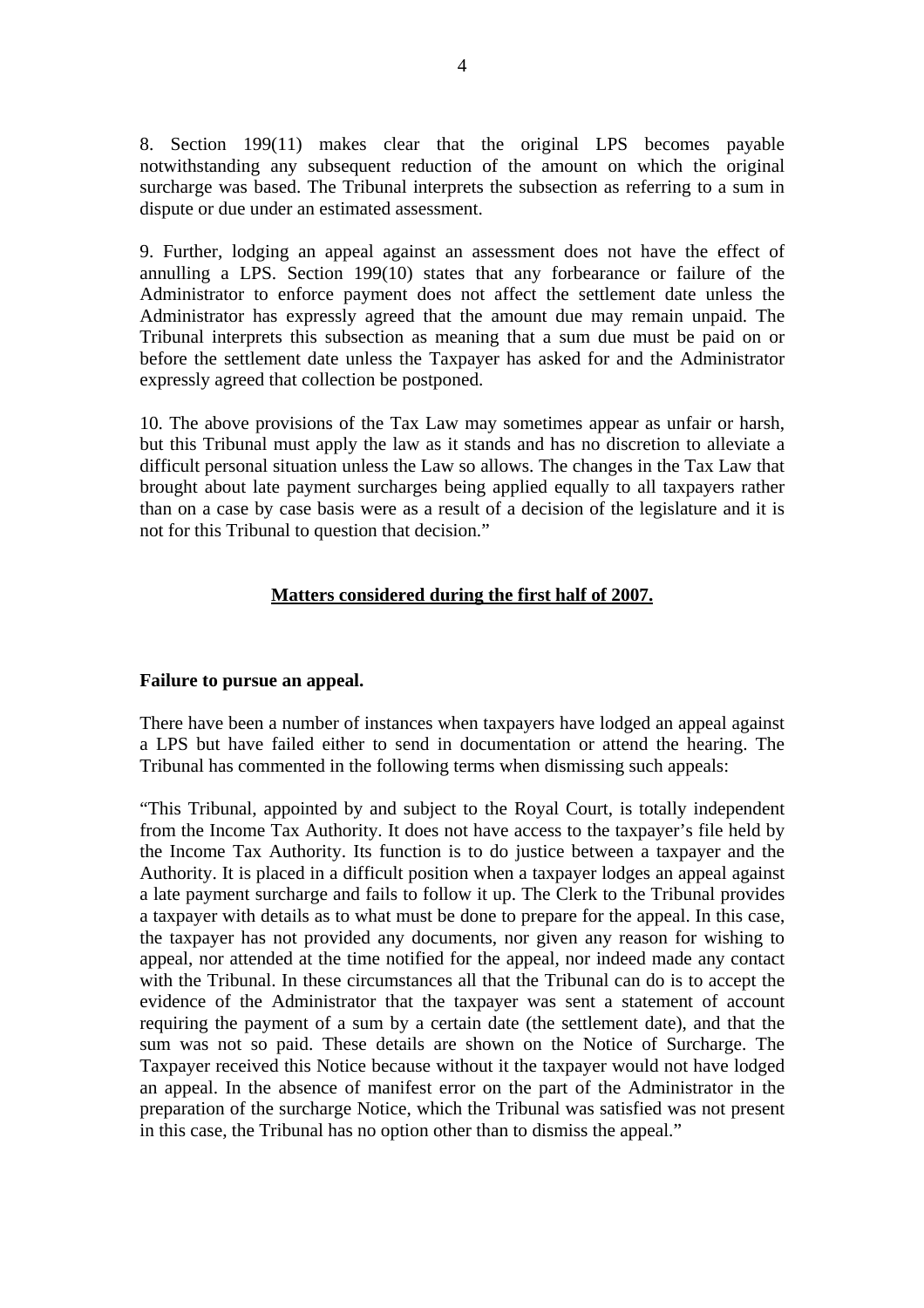8. Section 199(11) makes clear that the original LPS becomes payable notwithstanding any subsequent reduction of the amount on which the original surcharge was based. The Tribunal interprets the subsection as referring to a sum in dispute or due under an estimated assessment.

9. Further, lodging an appeal against an assessment does not have the effect of annulling a LPS. Section 199(10) states that any forbearance or failure of the Administrator to enforce payment does not affect the settlement date unless the Administrator has expressly agreed that the amount due may remain unpaid. The Tribunal interprets this subsection as meaning that a sum due must be paid on or before the settlement date unless the Taxpayer has asked for and the Administrator expressly agreed that collection be postponed.

10. The above provisions of the Tax Law may sometimes appear as unfair or harsh, but this Tribunal must apply the law as it stands and has no discretion to alleviate a difficult personal situation unless the Law so allows. The changes in the Tax Law that brought about late payment surcharges being applied equally to all taxpayers rather than on a case by case basis were as a result of a decision of the legislature and it is not for this Tribunal to question that decision."

# **Matters considered during the first half of 2007.**

#### **Failure to pursue an appeal.**

There have been a number of instances when taxpayers have lodged an appeal against a LPS but have failed either to send in documentation or attend the hearing. The Tribunal has commented in the following terms when dismissing such appeals:

"This Tribunal, appointed by and subject to the Royal Court, is totally independent from the Income Tax Authority. It does not have access to the taxpayer's file held by the Income Tax Authority. Its function is to do justice between a taxpayer and the Authority. It is placed in a difficult position when a taxpayer lodges an appeal against a late payment surcharge and fails to follow it up. The Clerk to the Tribunal provides a taxpayer with details as to what must be done to prepare for the appeal. In this case, the taxpayer has not provided any documents, nor given any reason for wishing to appeal, nor attended at the time notified for the appeal, nor indeed made any contact with the Tribunal. In these circumstances all that the Tribunal can do is to accept the evidence of the Administrator that the taxpayer was sent a statement of account requiring the payment of a sum by a certain date (the settlement date), and that the sum was not so paid. These details are shown on the Notice of Surcharge. The Taxpayer received this Notice because without it the taxpayer would not have lodged an appeal. In the absence of manifest error on the part of the Administrator in the preparation of the surcharge Notice, which the Tribunal was satisfied was not present in this case, the Tribunal has no option other than to dismiss the appeal."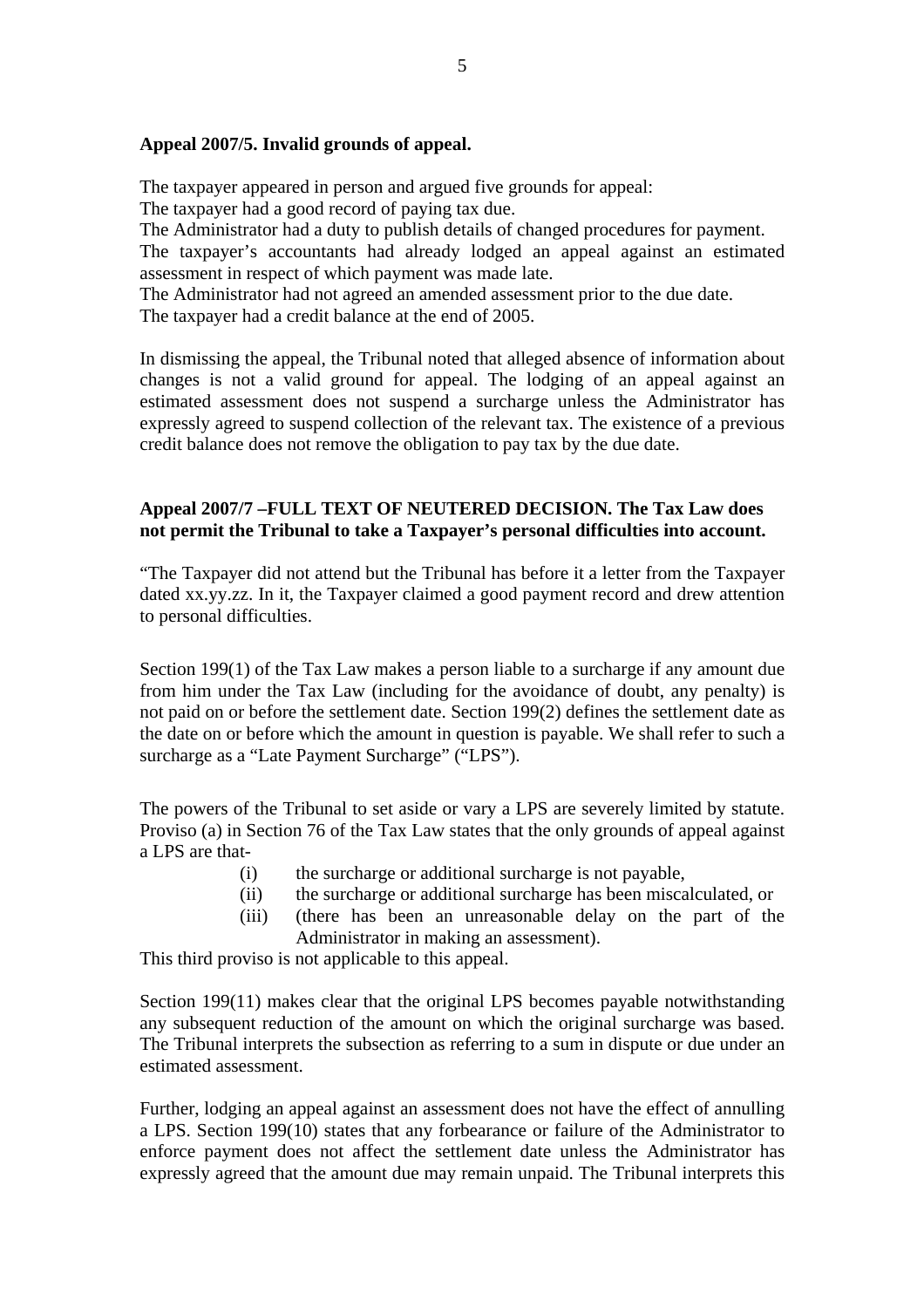#### **Appeal 2007/5. Invalid grounds of appeal.**

The taxpayer appeared in person and argued five grounds for appeal:

The taxpayer had a good record of paying tax due.

The Administrator had a duty to publish details of changed procedures for payment.

The taxpayer's accountants had already lodged an appeal against an estimated assessment in respect of which payment was made late.

The Administrator had not agreed an amended assessment prior to the due date. The taxpayer had a credit balance at the end of 2005.

In dismissing the appeal, the Tribunal noted that alleged absence of information about changes is not a valid ground for appeal. The lodging of an appeal against an estimated assessment does not suspend a surcharge unless the Administrator has expressly agreed to suspend collection of the relevant tax. The existence of a previous credit balance does not remove the obligation to pay tax by the due date.

## **Appeal 2007/7 –FULL TEXT OF NEUTERED DECISION. The Tax Law does not permit the Tribunal to take a Taxpayer's personal difficulties into account.**

"The Taxpayer did not attend but the Tribunal has before it a letter from the Taxpayer dated xx.yy.zz. In it, the Taxpayer claimed a good payment record and drew attention to personal difficulties.

Section 199(1) of the Tax Law makes a person liable to a surcharge if any amount due from him under the Tax Law (including for the avoidance of doubt, any penalty) is not paid on or before the settlement date. Section 199(2) defines the settlement date as the date on or before which the amount in question is payable. We shall refer to such a surcharge as a "Late Payment Surcharge" ("LPS").

The powers of the Tribunal to set aside or vary a LPS are severely limited by statute. Proviso (a) in Section 76 of the Tax Law states that the only grounds of appeal against a LPS are that-

- (i) the surcharge or additional surcharge is not payable,
- (ii) the surcharge or additional surcharge has been miscalculated, or
- (iii) (there has been an unreasonable delay on the part of the Administrator in making an assessment).

This third proviso is not applicable to this appeal.

Section 199(11) makes clear that the original LPS becomes payable notwithstanding any subsequent reduction of the amount on which the original surcharge was based. The Tribunal interprets the subsection as referring to a sum in dispute or due under an estimated assessment.

Further, lodging an appeal against an assessment does not have the effect of annulling a LPS. Section 199(10) states that any forbearance or failure of the Administrator to enforce payment does not affect the settlement date unless the Administrator has expressly agreed that the amount due may remain unpaid. The Tribunal interprets this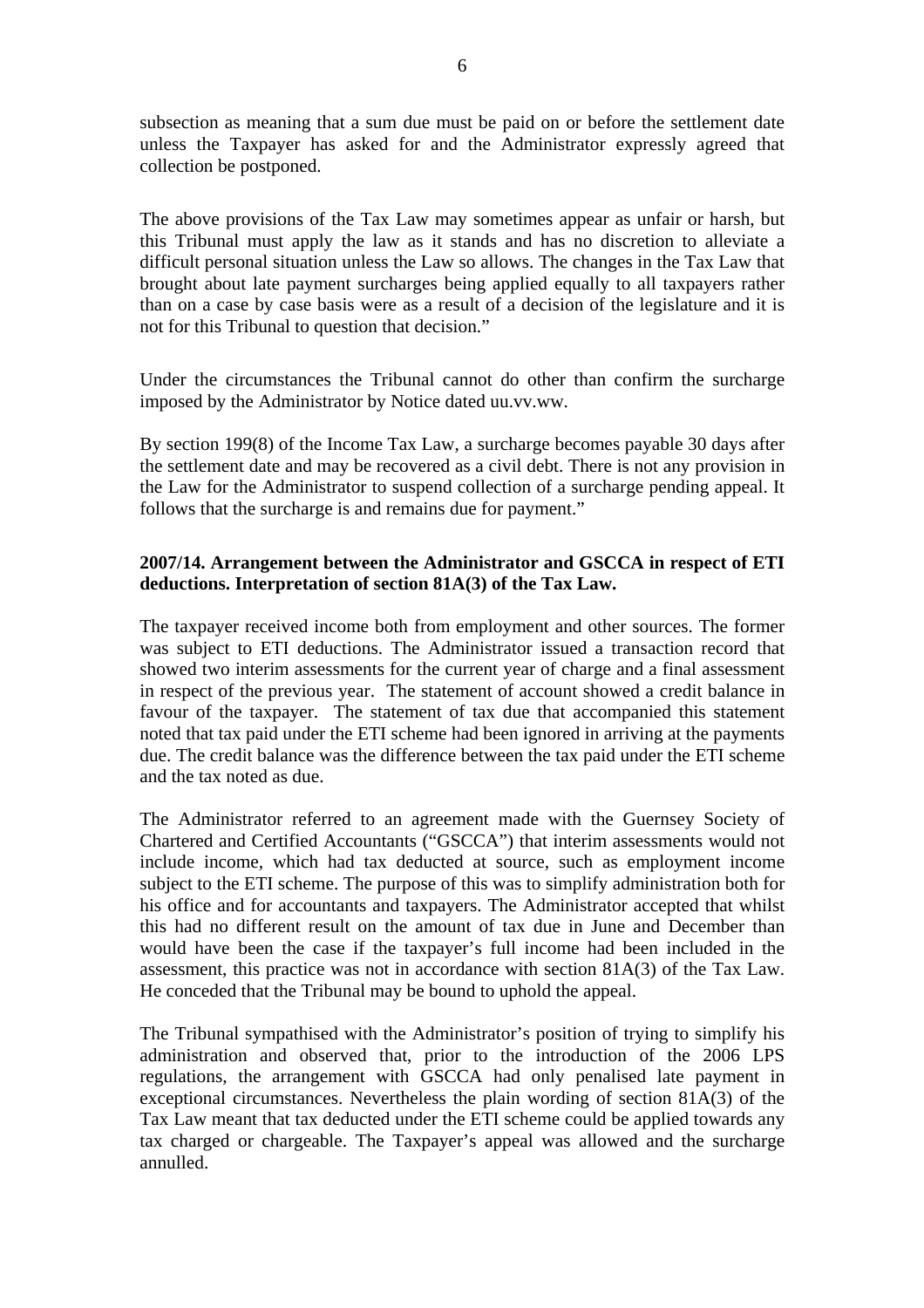subsection as meaning that a sum due must be paid on or before the settlement date unless the Taxpayer has asked for and the Administrator expressly agreed that collection be postponed.

The above provisions of the Tax Law may sometimes appear as unfair or harsh, but this Tribunal must apply the law as it stands and has no discretion to alleviate a difficult personal situation unless the Law so allows. The changes in the Tax Law that brought about late payment surcharges being applied equally to all taxpayers rather than on a case by case basis were as a result of a decision of the legislature and it is not for this Tribunal to question that decision."

Under the circumstances the Tribunal cannot do other than confirm the surcharge imposed by the Administrator by Notice dated uu.vv.ww.

By section 199(8) of the Income Tax Law, a surcharge becomes payable 30 days after the settlement date and may be recovered as a civil debt. There is not any provision in the Law for the Administrator to suspend collection of a surcharge pending appeal. It follows that the surcharge is and remains due for payment."

## **2007/14. Arrangement between the Administrator and GSCCA in respect of ETI deductions. Interpretation of section 81A(3) of the Tax Law.**

The taxpayer received income both from employment and other sources. The former was subject to ETI deductions. The Administrator issued a transaction record that showed two interim assessments for the current year of charge and a final assessment in respect of the previous year. The statement of account showed a credit balance in favour of the taxpayer. The statement of tax due that accompanied this statement noted that tax paid under the ETI scheme had been ignored in arriving at the payments due. The credit balance was the difference between the tax paid under the ETI scheme and the tax noted as due.

The Administrator referred to an agreement made with the Guernsey Society of Chartered and Certified Accountants ("GSCCA") that interim assessments would not include income, which had tax deducted at source, such as employment income subject to the ETI scheme. The purpose of this was to simplify administration both for his office and for accountants and taxpayers. The Administrator accepted that whilst this had no different result on the amount of tax due in June and December than would have been the case if the taxpayer's full income had been included in the assessment, this practice was not in accordance with section 81A(3) of the Tax Law. He conceded that the Tribunal may be bound to uphold the appeal.

The Tribunal sympathised with the Administrator's position of trying to simplify his administration and observed that, prior to the introduction of the 2006 LPS regulations, the arrangement with GSCCA had only penalised late payment in exceptional circumstances. Nevertheless the plain wording of section 81A(3) of the Tax Law meant that tax deducted under the ETI scheme could be applied towards any tax charged or chargeable. The Taxpayer's appeal was allowed and the surcharge annulled.